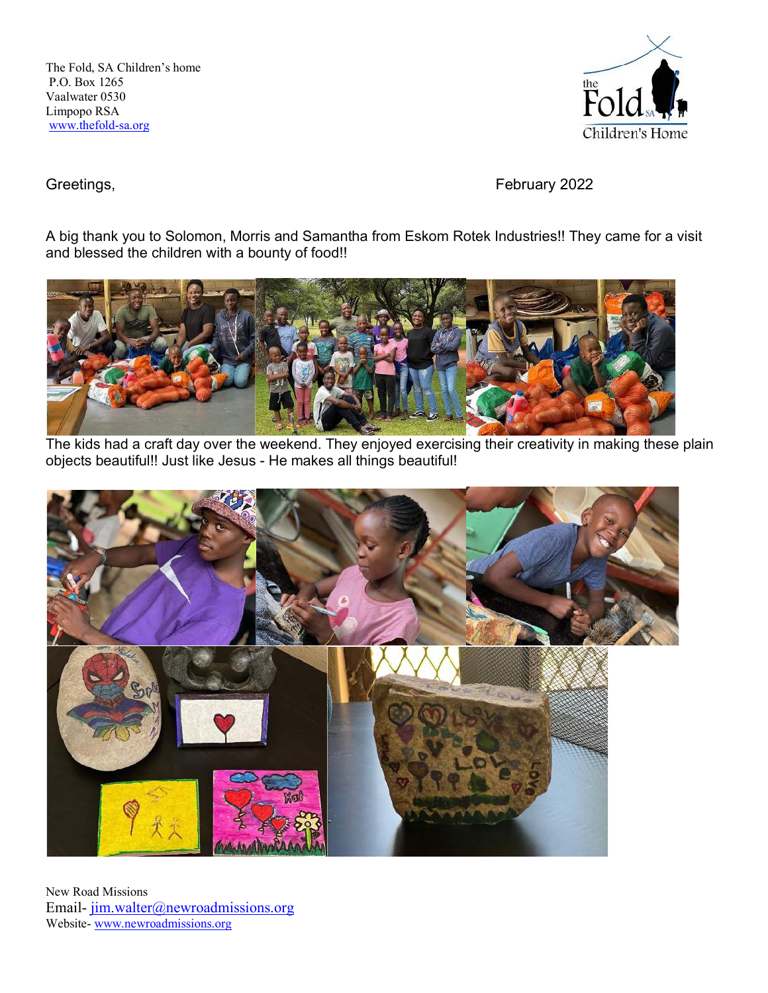The Fold, SA Children's home P.O. Box 1265 Vaalwater 0530 Limpopo RSA www.thefold-sa.org



Greetings, **February 2022** 

A big thank you to Solomon, Morris and Samantha from Eskom Rotek Industries!! They came for a visit and blessed the children with a bounty of food!!



The kids had a craft day over the weekend. They enjoyed exercising their creativity in making these plain objects beautiful!! Just like Jesus - He makes all things beautiful!